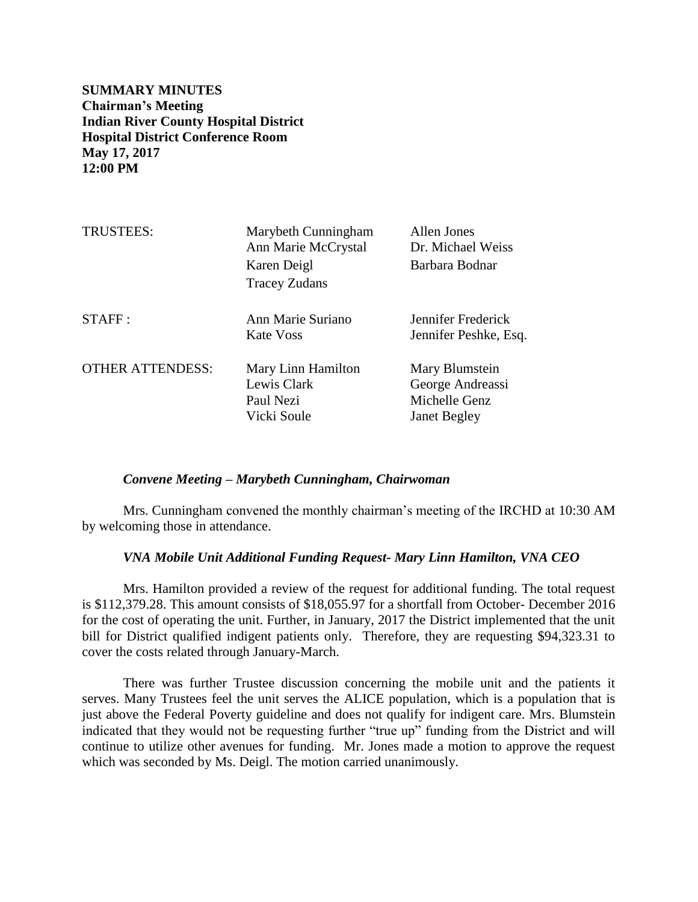**SUMMARY MINUTES Chairman's Meeting Indian River County Hospital District Hospital District Conference Room May 17, 2017 12:00 PM**

| <b>TRUSTEES:</b>        | Marybeth Cunningham<br>Ann Marie McCrystal<br>Karen Deigl<br><b>Tracey Zudans</b> | Allen Jones<br>Dr. Michael Weiss<br>Barbara Bodnar                         |
|-------------------------|-----------------------------------------------------------------------------------|----------------------------------------------------------------------------|
| STAFF:                  | Ann Marie Suriano<br>Kate Voss                                                    | Jennifer Frederick<br>Jennifer Peshke, Esq.                                |
| <b>OTHER ATTENDESS:</b> | Mary Linn Hamilton<br>Lewis Clark<br>Paul Nezi<br>Vicki Soule                     | Mary Blumstein<br>George Andreassi<br>Michelle Genz<br><b>Janet Begley</b> |

#### *Convene Meeting – Marybeth Cunningham, Chairwoman*

Mrs. Cunningham convened the monthly chairman's meeting of the IRCHD at 10:30 AM by welcoming those in attendance.

### *VNA Mobile Unit Additional Funding Request- Mary Linn Hamilton, VNA CEO*

Mrs. Hamilton provided a review of the request for additional funding. The total request is \$112,379.28. This amount consists of \$18,055.97 for a shortfall from October- December 2016 for the cost of operating the unit. Further, in January, 2017 the District implemented that the unit bill for District qualified indigent patients only. Therefore, they are requesting \$94,323.31 to cover the costs related through January-March.

There was further Trustee discussion concerning the mobile unit and the patients it serves. Many Trustees feel the unit serves the ALICE population, which is a population that is just above the Federal Poverty guideline and does not qualify for indigent care. Mrs. Blumstein indicated that they would not be requesting further "true up" funding from the District and will continue to utilize other avenues for funding. Mr. Jones made a motion to approve the request which was seconded by Ms. Deigl. The motion carried unanimously.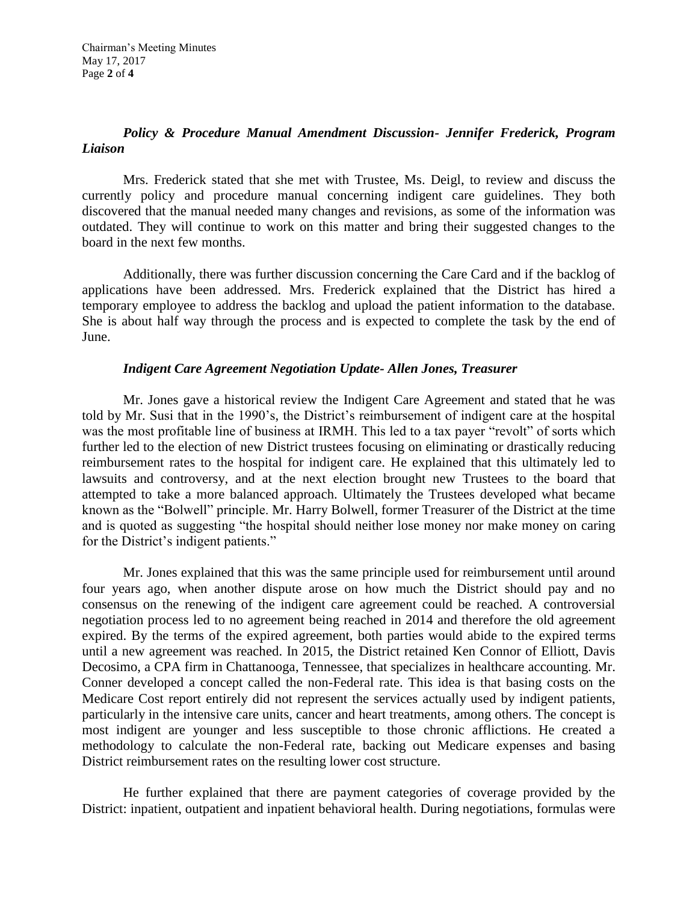# *Policy & Procedure Manual Amendment Discussion- Jennifer Frederick, Program Liaison*

Mrs. Frederick stated that she met with Trustee, Ms. Deigl, to review and discuss the currently policy and procedure manual concerning indigent care guidelines. They both discovered that the manual needed many changes and revisions, as some of the information was outdated. They will continue to work on this matter and bring their suggested changes to the board in the next few months.

Additionally, there was further discussion concerning the Care Card and if the backlog of applications have been addressed. Mrs. Frederick explained that the District has hired a temporary employee to address the backlog and upload the patient information to the database. She is about half way through the process and is expected to complete the task by the end of June.

## *Indigent Care Agreement Negotiation Update- Allen Jones, Treasurer*

Mr. Jones gave a historical review the Indigent Care Agreement and stated that he was told by Mr. Susi that in the 1990's, the District's reimbursement of indigent care at the hospital was the most profitable line of business at IRMH. This led to a tax payer "revolt" of sorts which further led to the election of new District trustees focusing on eliminating or drastically reducing reimbursement rates to the hospital for indigent care. He explained that this ultimately led to lawsuits and controversy, and at the next election brought new Trustees to the board that attempted to take a more balanced approach. Ultimately the Trustees developed what became known as the "Bolwell" principle. Mr. Harry Bolwell, former Treasurer of the District at the time and is quoted as suggesting "the hospital should neither lose money nor make money on caring for the District's indigent patients."

Mr. Jones explained that this was the same principle used for reimbursement until around four years ago, when another dispute arose on how much the District should pay and no consensus on the renewing of the indigent care agreement could be reached. A controversial negotiation process led to no agreement being reached in 2014 and therefore the old agreement expired. By the terms of the expired agreement, both parties would abide to the expired terms until a new agreement was reached. In 2015, the District retained Ken Connor of Elliott, Davis Decosimo, a CPA firm in Chattanooga, Tennessee, that specializes in healthcare accounting. Mr. Conner developed a concept called the non-Federal rate. This idea is that basing costs on the Medicare Cost report entirely did not represent the services actually used by indigent patients, particularly in the intensive care units, cancer and heart treatments, among others. The concept is most indigent are younger and less susceptible to those chronic afflictions. He created a methodology to calculate the non-Federal rate, backing out Medicare expenses and basing District reimbursement rates on the resulting lower cost structure.

He further explained that there are payment categories of coverage provided by the District: inpatient, outpatient and inpatient behavioral health. During negotiations, formulas were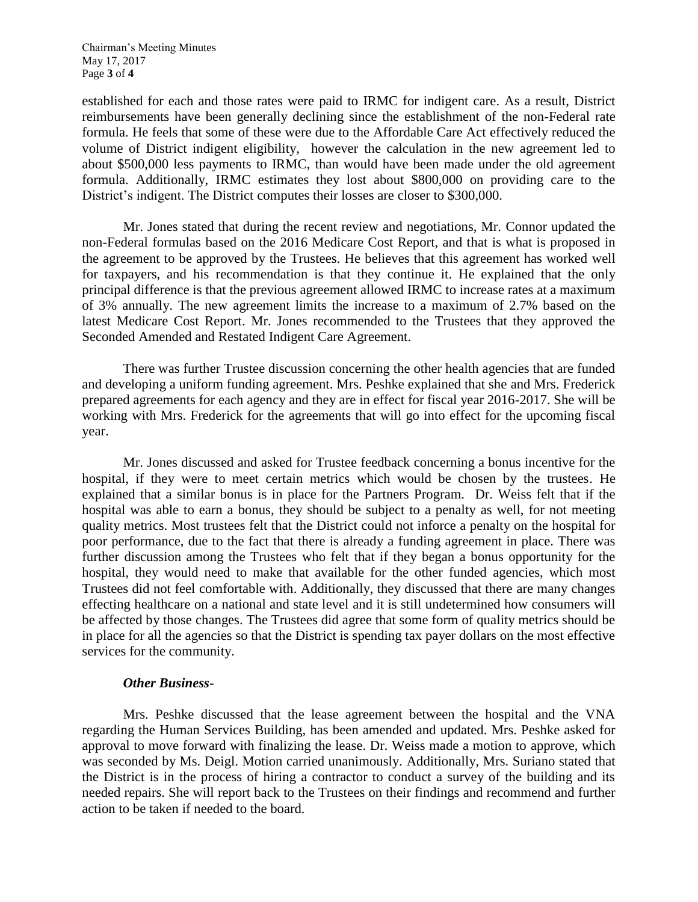established for each and those rates were paid to IRMC for indigent care. As a result, District reimbursements have been generally declining since the establishment of the non-Federal rate formula. He feels that some of these were due to the Affordable Care Act effectively reduced the volume of District indigent eligibility, however the calculation in the new agreement led to about \$500,000 less payments to IRMC, than would have been made under the old agreement formula. Additionally, IRMC estimates they lost about \$800,000 on providing care to the District's indigent. The District computes their losses are closer to \$300,000.

Mr. Jones stated that during the recent review and negotiations, Mr. Connor updated the non-Federal formulas based on the 2016 Medicare Cost Report, and that is what is proposed in the agreement to be approved by the Trustees. He believes that this agreement has worked well for taxpayers, and his recommendation is that they continue it. He explained that the only principal difference is that the previous agreement allowed IRMC to increase rates at a maximum of 3% annually. The new agreement limits the increase to a maximum of 2.7% based on the latest Medicare Cost Report. Mr. Jones recommended to the Trustees that they approved the Seconded Amended and Restated Indigent Care Agreement.

There was further Trustee discussion concerning the other health agencies that are funded and developing a uniform funding agreement. Mrs. Peshke explained that she and Mrs. Frederick prepared agreements for each agency and they are in effect for fiscal year 2016-2017. She will be working with Mrs. Frederick for the agreements that will go into effect for the upcoming fiscal year.

Mr. Jones discussed and asked for Trustee feedback concerning a bonus incentive for the hospital, if they were to meet certain metrics which would be chosen by the trustees. He explained that a similar bonus is in place for the Partners Program. Dr. Weiss felt that if the hospital was able to earn a bonus, they should be subject to a penalty as well, for not meeting quality metrics. Most trustees felt that the District could not inforce a penalty on the hospital for poor performance, due to the fact that there is already a funding agreement in place. There was further discussion among the Trustees who felt that if they began a bonus opportunity for the hospital, they would need to make that available for the other funded agencies, which most Trustees did not feel comfortable with. Additionally, they discussed that there are many changes effecting healthcare on a national and state level and it is still undetermined how consumers will be affected by those changes. The Trustees did agree that some form of quality metrics should be in place for all the agencies so that the District is spending tax payer dollars on the most effective services for the community.

## *Other Business-*

Mrs. Peshke discussed that the lease agreement between the hospital and the VNA regarding the Human Services Building, has been amended and updated. Mrs. Peshke asked for approval to move forward with finalizing the lease. Dr. Weiss made a motion to approve, which was seconded by Ms. Deigl. Motion carried unanimously. Additionally, Mrs. Suriano stated that the District is in the process of hiring a contractor to conduct a survey of the building and its needed repairs. She will report back to the Trustees on their findings and recommend and further action to be taken if needed to the board.